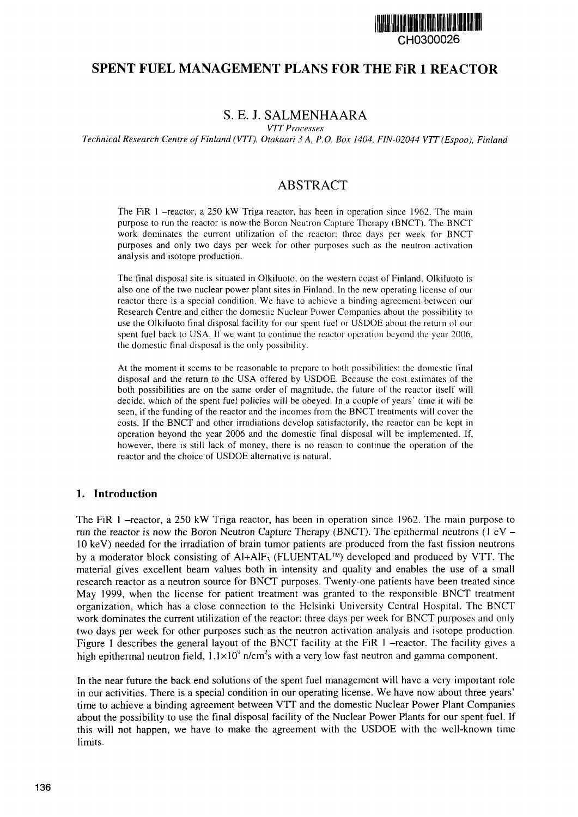

# **SPENT FUEL MANAGEMENT PLANS FOR THE FiR I REACTOR**

# S. E. **J.** SALMENHAARA

*VTT Processes*

*Technical Research Centre of Finland (VTT), Otakaari 3 A, P.O. Box 1404, FIN-02044 VTT (Espoo), Finland*

# ABSTRACT

The FiR  $1$  -reactor, a 250 kW Triga reactor, has been in operation since 1962. The main purpose to run the reactor is now the Boron Neutron Capture Therapy (BNCT). The BNCT work dominates the current utilization of the reactor: three days per week for BNCT purposes and only two days per week for other purposes such as the neutron activation analysis and isotope production.

The final disposal site is situated in Olkiluoto, on the western coast of Finland. Olkiluoto is also one of the two nuclear power plant sites in Finland. In the new operating license of our reactor there is a special condition. We have to achieve a binding agreement between our Research Centre and either the domestic Nuclear Power Companies about the possibility to use the Olkiluoto final disposal facility for our spent fuel or USDOE about the return of our spent fuel back to USA. If we want to continue the reactor operation beyond **the** year 2006. the domestic final disposal is the only possibility.

At the moment it seems to be reasonable to prepare to both possibilities: the domestic inal disposal and the return to the USA offered by USDOE. Because the cost estimates of the both possibilities are on the same order of magnitude, the uture of the reactor itself will decide, which of the spent fuel policies will be obeyed. In a couple of years' time it will be seen, if the funding of the reactor and the incomes from the BNCT treatments will cover the costs. If the BNCT and other irradiations develop satisfactorily, the reactor can be kept in operation beyond the year 2006 and the domestic final disposal will be implemented. If, however, there is still lack of money, there is no reason to continue the operation of the reactor and the choice of USDOE alternative is natural.

#### 1. **Introduction**

The FiR 1 -reactor, a 250 kW Triga reactor, has been in operation since 1962. The main purpose to run the reactor is now the Boron Neutron Capture Therapy (BNCT). The epithermal neutrons (1 eV -10 keV) needed for the irradiation of brain tumor patients are produced from the fast fission neutrons by a moderator block consisting of  $AI+AIF$ , (FLUENTAL<sup>TM</sup>) developed and produced by VTT. The material gives excellent beam values both in intensity and quality and enables the use of a small research reactor as a neutron source for BNCT purposes. Twenty-one patients have been treated since May 1999, when the license for patient treatment was granted to the responsible BNCT treatment organization, which has a close connection to the Helsinki University Central Hospital. The BNCT work dominates the current utilization of the reactor: three days per week for BNCT purposes and only two days per week for other purposes such as the neutron activation analysis and isotope production. Figure 1 describes the general layout of the BNCT facility at the FiR 1 -reactor. The facility gives a high epithermal neutron field,  $1.1 \times 10^9$  n/cm<sup>2</sup>s with a very low fast neutron and gamma component.

In the near future the back end solutions of the spent fuel management will have a very important role in our activities. There is a special condition in our operating license. We have now about three years' time to achieve a binding agreement between VTT and the domestic Nuclear Power Plant Companies about the possibility to use the final disposal facility of the Nuclear Power Plants for our spent fuel. If this will not happen, we have to make the agreement with the USDOE with the well-known time limits.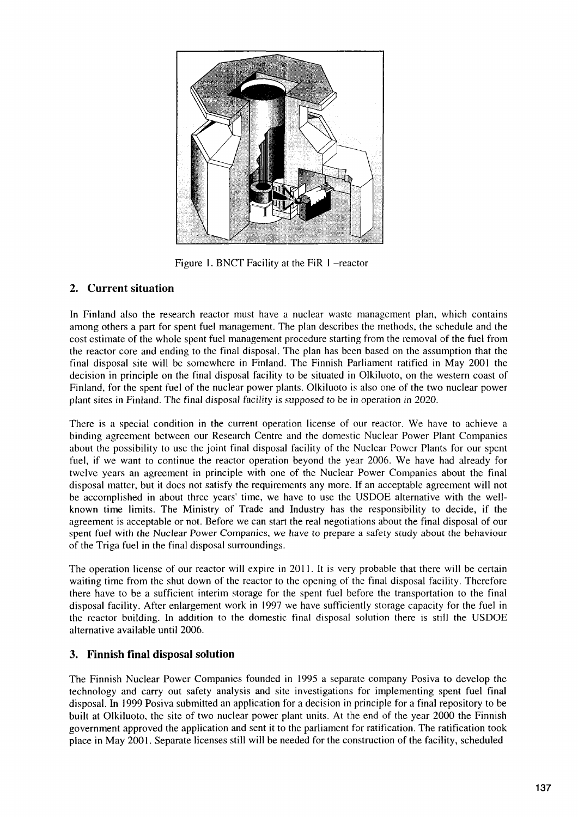

Figure 1. BNCT Facility at the FiR 1-reactor

## 2. Current situation

In Finland also the research reactor must have a nuclear waste management plan, which contains among others a part for spent fuel management. The plan describes the methods, the schedule and the cost estimate of the whole spent fuel management procedure starting from the removal of the fuel from the reactor core and ending to the final disposal. The plan has been based on the assumption that the final disposal site will be somewhere in Finland. The Finnish Parliament ratified in May 2001 the decision in principle on the final disposal facility to be situated in Olkiluoto, on the western coast of Finland, for the spent fuel of the nuclear power plants. Olkiluoto is also one of the two nuclear power plant sites in Finland. The final disposal facility is supposed to be in operation in 2020.

There is a special condition in the current operation license of our reactor. We have to achieve a binding agreement between our Research Centre and the domestic Nuclear Power Plant Companies about the possibility to use the joint final disposal facility of the Nuclear Power Plants for our spent fuel, if we want to continue the reactor operation beyond the year 2006. We have had already for twelve years an agreement in principle with one of the Nuclear Power Companies about the final disposal matter, but it does not satisfy the requirements any more. If an acceptable agreement will not be accomplished in about three years' time, we have to use the USDOE alternative with the wellknown time limits. The Ministry of Trade and Industry has the responsibility to decide, if the agreement is acceptable or not. Before we can start the real negotiations about the final disposal of our spent fuel with the Nuclear Power Companies, we have to prepare a safety study about the behaviour of the Triga fuel in the final disposal surroundings.

The operation license of our reactor will expire in 2011. It is very probable that there will be certain waiting time from the shut down of the reactor to the opening of the final disposal facility. Therefore there have to be a sufficient interim storage for the spent fuel before the transportation to the final disposal facility. After enlargement work in 1997 we have sufficiently storage capacity for the fuel in the reactor building. In addition to the domestic final disposal solution there is still the USDOE alternative available until 2006.

## 3. Finnish **Final** disposal solution

The Finnish Nuclear Power Companies founded in 1995 a separate company Posiva to develop the technology and carry out safety analysis and site investigations for implementing spent fuel final disposal. In 1999 Posiva submitted an application for a decision in principle for a final repository to be built at Olkiluoto, the site of two nuclear power plant units. At the end of the year 2000 the Finnish government approved the application and sent it to the parliament for ratification. The ratification took place in May 2001. Separate licenses still will be needed for the construction of the facility, scheduled